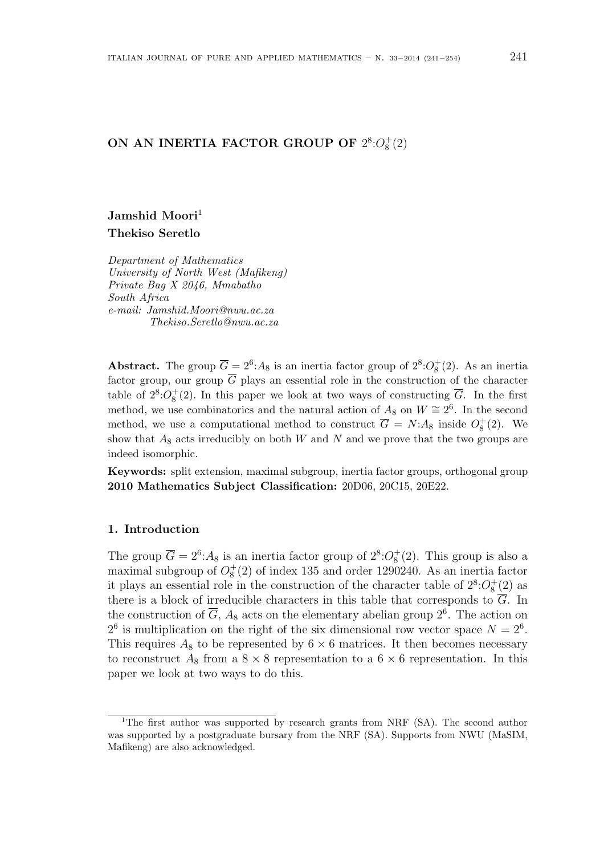# ON AN INERTIA FACTOR GROUP OF  $2^8:O_8^+(2)$

# Jamshid Moori<sup>1</sup> Thekiso Seretlo

Department of Mathematics University of North West (Mafikeng) Private Bag X 2046, Mmabatho South Africa e-mail: Jamshid.Moori@nwu.ac.za Thekiso.Seretlo@nwu.ac.za

Abstract. The group  $\overline{G} = 2^6$ :  $A_8$  is an inertia factor group of  $2^8$ :  $O_8^+(2)$ . As an inertia factor group, our group  $\overline{G}$  plays an essential role in the construction of the character table of  $2^8$ : $O_8^+(2)$ . In this paper we look at two ways of constructing  $\overline{G}$ . In the first method, we use combinatorics and the natural action of  $A_8$  on  $W \cong 2^6$ . In the second method, we use a computational method to construct  $\overline{G} = N: A_8$  inside  $O_8^+(2)$ . We show that  $A_8$  acts irreducibly on both W and N and we prove that the two groups are indeed isomorphic.

Keywords: split extension, maximal subgroup, inertia factor groups, orthogonal group 2010 Mathematics Subject Classification: 20D06, 20C15, 20E22.

## 1. Introduction

The group  $\overline{G} = 2^6$ :  $A_8$  is an inertia factor group of  $2^8$ :  $O_8^+(2)$ . This group is also a maximal subgroup of  $O_8^+(2)$  of index 135 and order 1290240. As an inertia factor it plays an essential role in the construction of the character table of  $2^8$ : $O_8^+(2)$  as there is a block of irreducible characters in this table that corresponds to  $\overline{G}$ . In the construction of  $\overline{G}$ ,  $A_8$  acts on the elementary abelian group  $2^6$ . The action on  $2^6$  is multiplication on the right of the six dimensional row vector space  $N = 2^6$ . This requires  $A_8$  to be represented by  $6 \times 6$  matrices. It then becomes necessary to reconstruct  $A_8$  from a  $8 \times 8$  representation to a  $6 \times 6$  representation. In this paper we look at two ways to do this.

<sup>1</sup>The first author was supported by research grants from NRF (SA). The second author was supported by a postgraduate bursary from the NRF (SA). Supports from NWU (MaSIM, Mafikeng) are also acknowledged.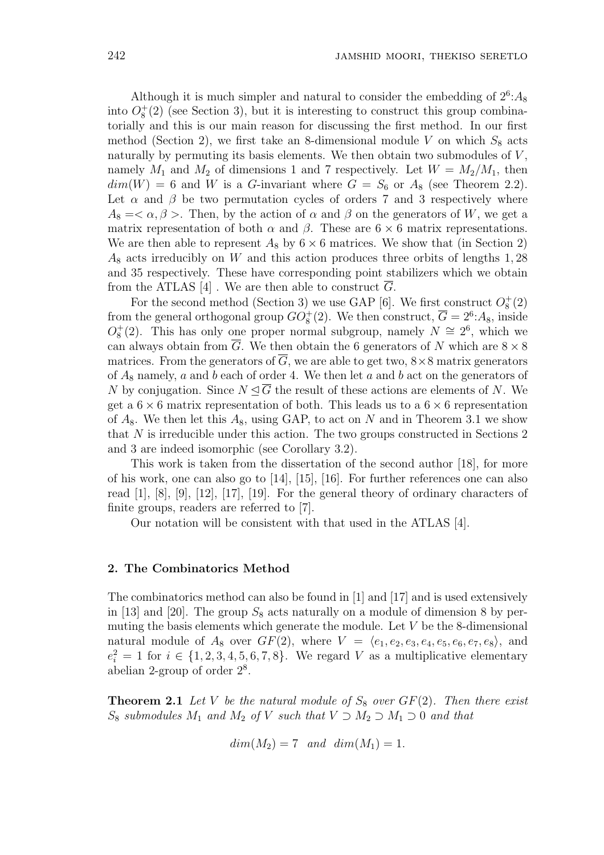Although it is much simpler and natural to consider the embedding of  $2<sup>6</sup>: A<sub>8</sub>$ into  $O_8^+(2)$  (see Section 3), but it is interesting to construct this group combinatorially and this is our main reason for discussing the first method. In our first method (Section 2), we first take an 8-dimensional module V on which  $S_8$  acts naturally by permuting its basis elements. We then obtain two submodules of  $V$ , namely  $M_1$  and  $M_2$  of dimensions 1 and 7 respectively. Let  $W = M_2/M_1$ , then  $dim(W) = 6$  and W is a G-invariant where  $G = S_6$  or  $A_8$  (see Theorem 2.2). Let  $\alpha$  and  $\beta$  be two permutation cycles of orders 7 and 3 respectively where  $A_8 = \langle \alpha, \beta \rangle$ . Then, by the action of  $\alpha$  and  $\beta$  on the generators of W, we get a matrix representation of both  $\alpha$  and  $\beta$ . These are 6  $\times$  6 matrix representations. We are then able to represent  $A_8$  by  $6 \times 6$  matrices. We show that (in Section 2)  $A_8$  acts irreducibly on W and this action produces three orbits of lengths 1,28 and 35 respectively. These have corresponding point stabilizers which we obtain from the ATLAS [4]. We are then able to construct  $\overline{G}$ .

For the second method (Section 3) we use GAP [6]. We first construct  $O_8^+(2)$ from the general orthogonal group  $GO_8^+(2)$ . We then construct,  $\overline{G} = 2^6$ : A<sub>8</sub>, inside  $O_8^+(2)$ . This has only one proper normal subgroup, namely  $N \cong 2^6$ , which we can always obtain from  $\overline{G}$ . We then obtain the 6 generators of N which are  $8 \times 8$ matrices. From the generators of  $\overline{G}$ , we are able to get two,  $8 \times 8$  matrix generators of  $A_8$  namely, a and b each of order 4. We then let a and b act on the generators of N by conjugation. Since  $N \trianglelefteq \overline{G}$  the result of these actions are elements of N. We get a  $6 \times 6$  matrix representation of both. This leads us to a  $6 \times 6$  representation of  $A_8$ . We then let this  $A_8$ , using GAP, to act on N and in Theorem 3.1 we show that N is irreducible under this action. The two groups constructed in Sections 2 and 3 are indeed isomorphic (see Corollary 3.2).

This work is taken from the dissertation of the second author [18], for more of his work, one can also go to [14], [15], [16]. For further references one can also read [1], [8], [9], [12], [17], [19]. For the general theory of ordinary characters of finite groups, readers are referred to [7].

Our notation will be consistent with that used in the ATLAS [4].

### 2. The Combinatorics Method

The combinatorics method can also be found in [1] and [17] and is used extensively in [13] and [20]. The group  $S_8$  acts naturally on a module of dimension 8 by permuting the basis elements which generate the module. Let V be the 8-dimensional natural module of  $A_8$  over  $GF(2)$ , where  $V = \langle e_1, e_2, e_3, e_4, e_5, e_6, e_7, e_8 \rangle$ , and  $e_i^2 = 1$  for  $i \in \{1, 2, 3, 4, 5, 6, 7, 8\}$ . We regard V as a multiplicative elementary abelian 2-group of order  $2^8$ .

**Theorem 2.1** Let V be the natural module of  $S_8$  over  $GF(2)$ . Then there exist  $S_8$  submodules  $M_1$  and  $M_2$  of V such that  $V \supset M_2 \supset M_1 \supset 0$  and that

$$
dim(M_2) = 7 \quad and \quad dim(M_1) = 1.
$$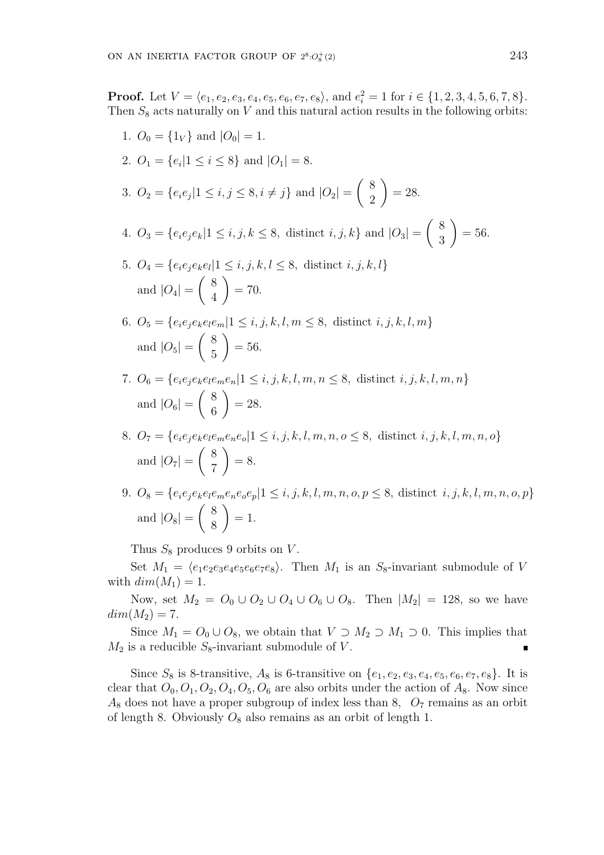**Proof.** Let  $V = \langle e_1, e_2, e_3, e_4, e_5, e_6, e_7, e_8 \rangle$ , and  $e_i^2 = 1$  for  $i \in \{1, 2, 3, 4, 5, 6, 7, 8\}$ . Then  $S_8$  acts naturally on V and this natural action results in the following orbits:

- 1.  $O_0 = \{1_V\}$  and  $|O_0| = 1$ . 2.  $O_1 = \{e_i | 1 \le i \le 8\}$  and  $|O_1| = 8$ . 3.  $O_2 = \{e_i e_j | 1 \le i, j \le 8, i \ne j\}$  and  $|O_2|$  =  $\overline{a}$ 8 2  $\mathbf{r}$  $= 28.$ 4.  $O_3 = \{e_i e_j e_k | 1 \le i, j, k \le 8,$  distinct  $i, j, k\}$  and  $|O_3|$  =  $\overline{a}$ 8 3  $\mathbf{r}$  $= 56.$ 5.  $O_4 = \{e_i e_j e_k e_l | 1 \le i, j, k, l \le 8,$  distinct  $i, j, k, l\}$ and  $|O_4| = \left(\begin{array}{c} 8 \\ 4 \end{array}\right)$  $\begin{pmatrix} 0 \\ 4 \end{pmatrix} = 70.$ 6.  $O_5 = \{e_i e_j e_k e_l e_m | 1 \le i, j, k, l, m \le 8,$  distinct  $i, j, k, l, m\}$ and  $|O_5| = \begin{pmatrix} 8 \\ 5 \end{pmatrix}$  $\binom{6}{5}$  = 56.
- 7.  $O_6 = \{e_i e_j e_k e_l e_m e_n | 1 \le i, j, k, l, m, n \le 8,$  distinct  $i, j, k, l, m, n\}$ and  $|O_6| = \left(\begin{array}{c} 8 \\ 6 \end{array}\right)$  $\begin{bmatrix} 6 \\ 6 \end{bmatrix} = 28.$
- 8.  $O_7 = \{e_i e_j e_k e_l e_m e_n e_o | 1 \le i, j, k, l, m, n, o \le 8,$  distinct  $i, j, k, l, m, n, o\}$ and  $|O_7| = \left(\begin{array}{c} 8 \\ 7 \end{array}\right)$  $\begin{pmatrix} 0 \\ 7 \end{pmatrix} = 8.$
- 9.  $O_8 = \{e_i e_j e_k e_l e_m e_n e_o e_p | 1 \le i, j, k, l, m, n, o, p \le 8,$  distinct  $i, j, k, l, m, n, o, p\}$ and  $|O_8| = \begin{pmatrix} 8 \\ 8 \end{pmatrix}$  $\begin{pmatrix} 8 \\ 8 \end{pmatrix} = 1.$

Thus  $S_8$  produces 9 orbits on V.

Set  $M_1 = \langle e_1e_2e_3e_4e_5e_6e_7e_8 \rangle$ . Then  $M_1$  is an S<sub>8</sub>-invariant submodule of V with  $dim(M_1) = 1$ .

Now, set  $M_2 = O_0 ∪ O_2 ∪ O_4 ∪ O_6 ∪ O_8$ . Then  $|M_2| = 128$ , so we have  $dim(M_2) = 7.$ 

Since  $M_1 = O_0 \cup O_8$ , we obtain that  $V \supset M_2 \supset M_1 \supset 0$ . This implies that  $M_2$  is a reducible  $S_8$ -invariant submodule of V.

Since  $S_8$  is 8-transitive,  $A_8$  is 6-transitive on  $\{e_1, e_2, e_3, e_4, e_5, e_6, e_7, e_8\}$ . It is clear that  $O_0$ ,  $O_1$ ,  $O_2$ ,  $O_4$ ,  $O_5$ ,  $O_6$  are also orbits under the action of  $A_8$ . Now since  $A_8$  does not have a proper subgroup of index less than 8,  $O_7$  remains as an orbit of length 8. Obviously  $O_8$  also remains as an orbit of length 1.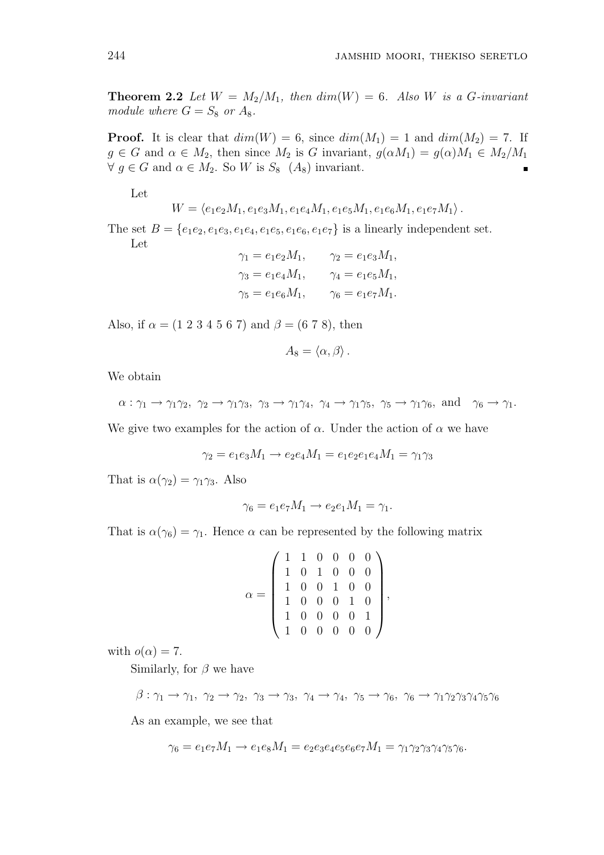**Theorem 2.2** Let  $W = M_2/M_1$ , then  $dim(W) = 6$ . Also W is a G-invariant module where  $G = S_8$  or  $A_8$ .

**Proof.** It is clear that  $dim(W) = 6$ , since  $dim(M_1) = 1$  and  $dim(M_2) = 7$ . If  $g \in G$  and  $\alpha \in M_2$ , then since  $M_2$  is G invariant,  $g(\alpha M_1) = g(\alpha)M_1 \in M_2/M_1$  $\forall g \in G$  and  $\alpha \in M_2$ . So W is  $S_8$   $(A_8)$  invariant.

Let

$$
W = \langle e_1 e_2 M_1, e_1 e_3 M_1, e_1 e_4 M_1, e_1 e_5 M_1, e_1 e_6 M_1, e_1 e_7 M_1 \rangle.
$$

The set  $B = \{e_1e_2, e_1e_3, e_1e_4, e_1e_5, e_1e_6, e_1e_7\}$  is a linearly independent set. Let

| $\gamma_1 = e_1 e_2 M_1,$ | $\gamma_2 = e_1 e_3 M_1,$ |
|---------------------------|---------------------------|
| $\gamma_3 = e_1 e_4 M_1,$ | $\gamma_4 = e_1 e_5 M_1,$ |
| $\gamma_5 = e_1 e_6 M_1,$ | $\gamma_6 = e_1 e_7 M_1.$ |

Also, if  $\alpha = (1\ 2\ 3\ 4\ 5\ 6\ 7)$  and  $\beta = (6\ 7\ 8)$ , then

$$
A_8 = \langle \alpha, \beta \rangle.
$$

We obtain

 $\alpha : \gamma_1 \to \gamma_1 \gamma_2, \gamma_2 \to \gamma_1 \gamma_3, \gamma_3 \to \gamma_1 \gamma_4, \gamma_4 \to \gamma_1 \gamma_5, \gamma_5 \to \gamma_1 \gamma_6, \text{ and } \gamma_6 \to \gamma_1.$ 

We give two examples for the action of  $\alpha$ . Under the action of  $\alpha$  we have

$$
\gamma_2 = e_1 e_3 M_1 \to e_2 e_4 M_1 = e_1 e_2 e_1 e_4 M_1 = \gamma_1 \gamma_3
$$

That is  $\alpha(\gamma_2) = \gamma_1 \gamma_3$ . Also

$$
\gamma_6 = e_1 e_7 M_1 \rightarrow e_2 e_1 M_1 = \gamma_1.
$$

That is  $\alpha(\gamma_6) = \gamma_1$ . Hence  $\alpha$  can be represented by the following matrix

$$
\alpha = \left(\begin{array}{cccccc} 1 & 1 & 0 & 0 & 0 & 0 \\ 1 & 0 & 1 & 0 & 0 & 0 \\ 1 & 0 & 0 & 1 & 0 & 0 \\ 1 & 0 & 0 & 0 & 1 & 0 \\ 1 & 0 & 0 & 0 & 0 & 1 \\ 1 & 0 & 0 & 0 & 0 & 0 \end{array}\right),
$$

with  $o(\alpha) = 7$ .

Similarly, for  $\beta$  we have

 $\beta:\gamma_1\rightarrow \gamma_1,\ \gamma_2\rightarrow \gamma_2,\ \gamma_3\rightarrow \gamma_3,\ \gamma_4\rightarrow \gamma_4,\ \gamma_5\rightarrow \gamma_6,\ \gamma_6\rightarrow \gamma_1\gamma_2\gamma_3\gamma_4\gamma_5\gamma_6$ 

As an example, we see that

$$
\gamma_6 = e_1 e_7 M_1 \rightarrow e_1 e_8 M_1 = e_2 e_3 e_4 e_5 e_6 e_7 M_1 = \gamma_1 \gamma_2 \gamma_3 \gamma_4 \gamma_5 \gamma_6.
$$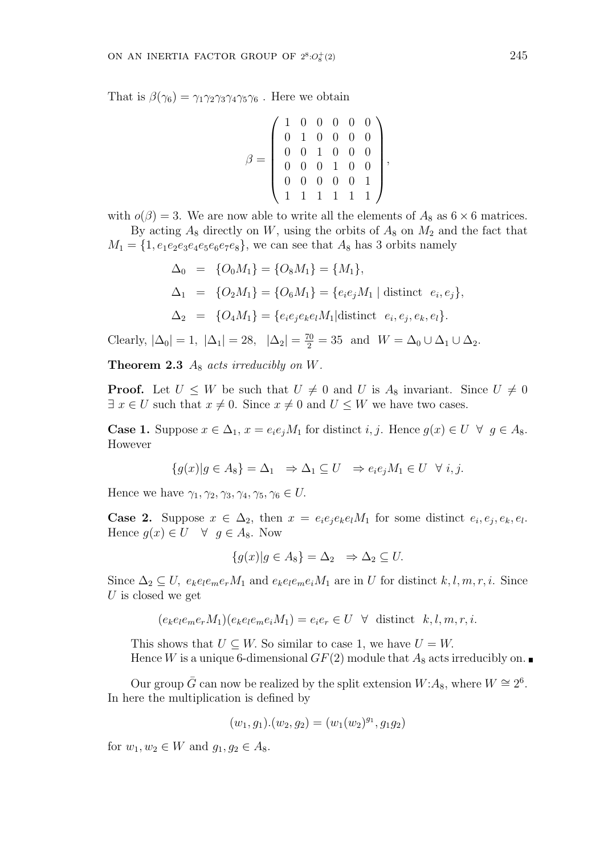That is  $\beta(\gamma_6) = \gamma_1 \gamma_2 \gamma_3 \gamma_4 \gamma_5 \gamma_6$ . Here we obtain

$$
\beta = \left( \begin{array}{cccccc} 1 & 0 & 0 & 0 & 0 & 0 \\ 0 & 1 & 0 & 0 & 0 & 0 \\ 0 & 0 & 1 & 0 & 0 & 0 \\ 0 & 0 & 0 & 1 & 0 & 0 \\ 0 & 0 & 0 & 0 & 0 & 1 \\ 1 & 1 & 1 & 1 & 1 & 1 \end{array} \right),
$$

with  $o(\beta) = 3$ . We are now able to write all the elements of  $A_8$  as  $6 \times 6$  matrices. By acting  $A_8$  directly on W, using the orbits of  $A_8$  on  $M_2$  and the fact that  $M_1 = \{1, e_1e_2e_3e_4e_5e_6e_7e_8\}$ , we can see that  $A_8$  has 3 orbits namely

$$
\Delta_0 = \{O_0 M_1\} = \{O_8 M_1\} = \{M_1\},
$$
  
\n
$$
\Delta_1 = \{O_2 M_1\} = \{O_6 M_1\} = \{e_i e_j M_1 | \text{distinct } e_i, e_j\},
$$
  
\n
$$
\Delta_2 = \{O_4 M_1\} = \{e_i e_j e_k e_l M_1 | \text{distinct } e_i, e_j, e_k, e_l\}.
$$

Clearly,  $|\Delta_0| = 1$ ,  $|\Delta_1| = 28$ ,  $|\Delta_2| = \frac{70}{2} = 35$  and  $W = \Delta_0 \cup \Delta_1 \cup \Delta_2$ .

**Theorem 2.3**  $A_8$  acts irreducibly on W.

**Proof.** Let  $U \leq W$  be such that  $U \neq 0$  and U is  $A_8$  invariant. Since  $U \neq 0$  $\exists x \in U$  such that  $x \neq 0$ . Since  $x \neq 0$  and  $U \leq W$  we have two cases.

**Case 1.** Suppose  $x \in \Delta_1$ ,  $x = e_i e_j M_1$  for distinct  $i, j$ . Hence  $g(x) \in U \ \forall \ g \in A_8$ . However

$$
\{g(x)|g\in A_8\}=\Delta_1 \Rightarrow \Delta_1\subseteq U \Rightarrow e_ie_jM_1\in U \quad \forall i,j.
$$

Hence we have  $\gamma_1, \gamma_2, \gamma_3, \gamma_4, \gamma_5, \gamma_6 \in U$ .

**Case 2.** Suppose  $x \in \Delta_2$ , then  $x = e_i e_j e_k e_l M_1$  for some distinct  $e_i, e_j, e_k, e_l$ . Hence  $g(x) \in U \quad \forall \; g \in A_8$ . Now

$$
\{g(x)|g \in A_8\} = \Delta_2 \Rightarrow \Delta_2 \subseteq U.
$$

Since  $\Delta_2 \subseteq U$ ,  $e_k e_l e_m e_r M_1$  and  $e_k e_l e_m e_i M_1$  are in U for distinct  $k, l, m, r, i$ . Since U is closed we get

$$
(e_{k}e_{l}e_{m}e_{r}M_{1})(e_{k}e_{l}e_{m}e_{i}M_{1}) = e_{i}e_{r} \in U \quad \forall \quad \text{distinct} \quad k, l, m, r, i.
$$

This shows that  $U \subseteq W$ . So similar to case 1, we have  $U = W$ . Hence W is a unique 6-dimensional  $GF(2)$  module that  $A_8$  acts irreducibly on.

Our group  $\bar{G}$  can now be realized by the split extension  $W:A_8$ , where  $W \cong 2^6$ . In here the multiplication is defined by

$$
(w_1, g_1) . (w_2, g_2) = (w_1(w_2)^{g_1}, g_1 g_2)
$$

for  $w_1, w_2 \in W$  and  $g_1, g_2 \in A_8$ .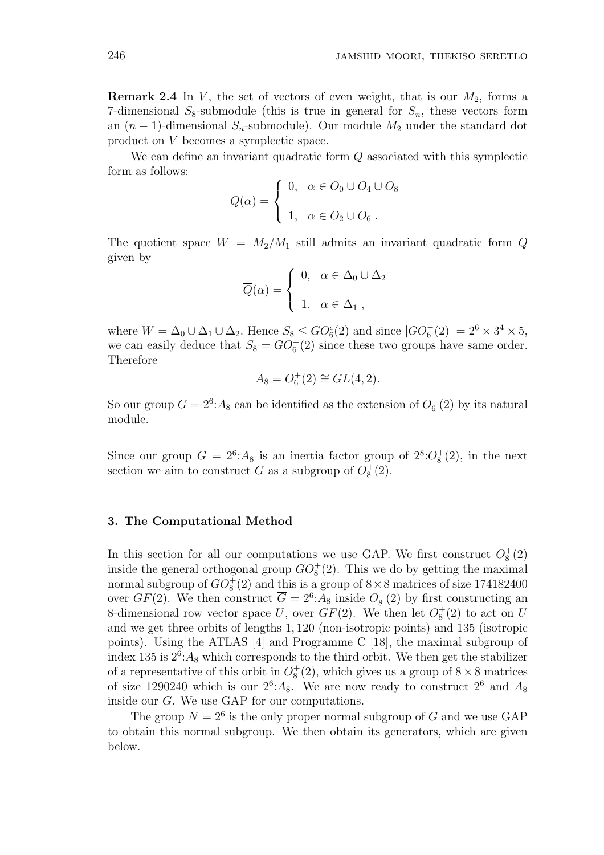**Remark 2.4** In V, the set of vectors of even weight, that is our  $M_2$ , forms a 7-dimensional  $S_8$ -submodule (this is true in general for  $S_n$ , these vectors form an  $(n-1)$ -dimensional  $S_n$ -submodule). Our module  $M_2$  under the standard dot product on V becomes a symplectic space.

We can define an invariant quadratic form Q associated with this symplectic form as follows:  $\overline{a}$ 

$$
Q(\alpha) = \begin{cases} 0, & \alpha \in O_0 \cup O_4 \cup O_8 \\ 1, & \alpha \in O_2 \cup O_6 \end{cases}
$$

The quotient space  $W = M_2/M_1$  still admits an invariant quadratic form  $\overline{Q}$ given by  $\overline{ }$ 

$$
\overline{Q}(\alpha) = \begin{cases} 0, & \alpha \in \Delta_0 \cup \Delta_2 \\ 1, & \alpha \in \Delta_1, \end{cases}
$$

where  $W = \Delta_0 \cup \Delta_1 \cup \Delta_2$ . Hence  $S_8 \leq GO_6^{\epsilon}(2)$  and since  $|GO_6^-(2)| = 2^6 \times 3^4 \times 5$ , we can easily deduce that  $S_8 = GO_6^+(2)$  since these two groups have same order. Therefore

$$
A_8 = O_6^+(2) \cong GL(4,2).
$$

So our group  $\overline{G} = 2^6$ : A<sub>8</sub> can be identified as the extension of  $O_6^+(2)$  by its natural module.

Since our group  $\overline{G} = 2^6$ : A<sub>8</sub> is an inertia factor group of  $2^8$ :  $O_8^+(2)$ , in the next section we aim to construct  $\overline{G}$  as a subgroup of  $O_8^+(2)$ .

#### 3. The Computational Method

In this section for all our computations we use GAP. We first construct  $O_8^+(2)$ inside the general orthogonal group  $GO_8^+(2)$ . This we do by getting the maximal normal subgroup of  $GO_8^+(2)$  and this is a group of  $8 \times 8$  matrices of size 174182400 over  $GF(2)$ . We then construct  $\overline{G} = 2^6$ : A<sub>8</sub> inside  $O_8^+(2)$  by first constructing an 8-dimensional row vector space U, over  $GF(2)$ . We then let  $O_8^+(2)$  to act on U and we get three orbits of lengths 1, 120 (non-isotropic points) and 135 (isotropic points). Using the ATLAS [4] and Programme C [18], the maximal subgroup of index 135 is  $2^6$ :  $A_8$  which corresponds to the third orbit. We then get the stabilizer of a representative of this orbit in  $O_8^+(2)$ , which gives us a group of  $8 \times 8$  matrices of size 1290240 which is our  $2^6$ : A<sub>8</sub>. We are now ready to construct  $2^6$  and A<sub>8</sub> inside our  $\overline{G}$ . We use GAP for our computations.

The group  $N = 2^6$  is the only proper normal subgroup of  $\overline{G}$  and we use GAP to obtain this normal subgroup. We then obtain its generators, which are given below.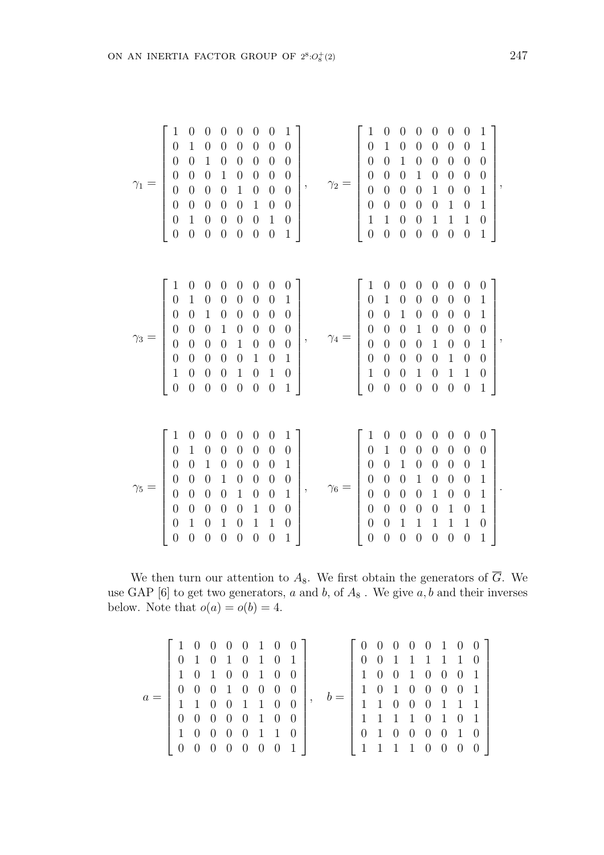$$
\gamma_1=\left[\begin{array}{cccccc} 1 & 0 & 0 & 0 & 0 & 0 & 0 & 1 \\ 0 & 1 & 0 & 0 & 0 & 0 & 0 & 0 \\ 0 & 0 & 1 & 0 & 0 & 0 & 0 & 0 \\ 0 & 0 & 0 & 1 & 0 & 0 & 0 & 0 \\ 0 & 0 & 0 & 0 & 1 & 0 & 0 & 0 \\ 0 & 0 & 0 & 0 & 0 & 1 & 0 & 0 \\ 0 & 0 & 0 & 0 & 0 & 0 & 1 & 0 \\ 0 & 0 & 0 & 0 & 0 & 0 & 1 & 0 \\ 0 & 0 & 0 & 0 & 0 & 0 & 1 & 0 \\ 0 & 0 & 0 & 0 & 0 & 0 & 1 & 0 \\ 0 & 0 & 0 & 0 & 0 & 0 & 0 & 1 \\ 0 & 0 & 0 & 0 & 0 & 0 & 0 & 1 \\ 0 & 0 & 0 & 0 & 0 & 0 & 0 & 1 \\ 0 & 0 & 0 & 0 & 0 & 0 & 0 & 1 \\ 0 & 0 & 0 & 0 & 0 & 0 & 0 & 1 \\ 0 & 0 & 0 & 0 & 0 & 0 & 0 & 1 \\ 0 & 0 & 0 & 0 & 0 & 0 & 0 & 1 \\ 0 & 0 & 0 & 0 & 0 & 0 & 0 & 1 \\ 0 & 0 & 0 & 0 & 0 & 0 & 0 & 1 \\ 0 & 0 & 0 & 0 & 0 & 0 & 0 & 1 \\ 0 & 0 & 0 & 0 & 0 & 0 & 0 & 1 \\ 0 & 0 & 0 & 0 & 0 & 0 & 0 & 1 \\ 0 & 0 & 0 & 0 & 0 & 0 & 0 & 1 \\ 0 & 0 & 0 & 0 & 0 & 0 & 0 & 1 \\ 0 & 0 & 0 & 0 & 0 & 0 & 0 & 1 \\ 0 & 0 & 0 & 0 & 0 & 0 & 0 & 1 \\ 0 & 0 & 0 & 0 & 0 & 0 & 0 & 1 \\ 0 & 0 & 0 & 0 & 0 & 0 & 0 & 1 \\ 0 & 0 & 0 & 0 & 0 & 0 & 0 & 1 \\ 0 & 0 & 0 & 0 & 0 & 0 & 0 & 1 \\ 0 & 0 & 0 & 0 & 0 & 0 & 0 & 1 \\ 0
$$

We then turn our attention to  $A_8$ . We first obtain the generators of  $\overline{G}$ . We use GAP [6] to get two generators,  $a$  and  $b$ , of  $A_8$ . We give  $a, b$  and their inverses below. Note that  $o(a) = o(b) = 4$ .

$$
a = \left[\begin{array}{cccccc} 1 & 0 & 0 & 0 & 0 & 1 & 0 & 0 \\ 0 & 1 & 0 & 1 & 0 & 1 & 0 & 1 \\ 1 & 0 & 1 & 0 & 0 & 1 & 0 & 0 \\ 0 & 0 & 0 & 1 & 0 & 0 & 0 & 0 \\ 1 & 1 & 0 & 0 & 1 & 1 & 0 & 0 \\ 0 & 0 & 0 & 0 & 0 & 1 & 1 & 0 \\ 1 & 0 & 0 & 0 & 0 & 1 & 1 & 0 \\ 0 & 0 & 0 & 0 & 0 & 0 & 0 & 1 \end{array}\right], \quad b = \left[\begin{array}{cccccc} 0 & 0 & 0 & 0 & 0 & 1 & 0 & 0 \\ 0 & 0 & 1 & 1 & 1 & 1 & 1 & 0 \\ 1 & 0 & 0 & 1 & 0 & 0 & 0 & 1 \\ 1 & 1 & 1 & 0 & 0 & 0 & 0 & 1 \\ 1 & 1 & 1 & 1 & 0 & 1 & 0 & 1 \\ 0 & 1 & 0 & 0 & 0 & 0 & 1 & 0 \\ 1 & 1 & 1 & 1 & 0 & 0 & 0 & 0 \end{array}\right]
$$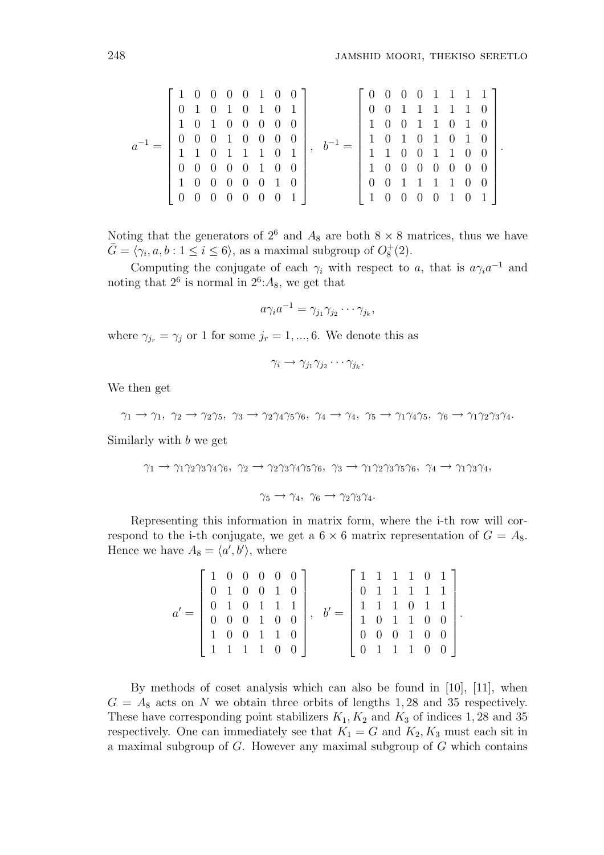.

$$
a^{-1} = \left[\begin{array}{ccccccc} 1 & 0 & 0 & 0 & 0 & 1 & 0 & 0 \\ 0 & 1 & 0 & 1 & 0 & 1 & 0 & 1 \\ 1 & 0 & 1 & 0 & 0 & 0 & 0 & 0 \\ 0 & 0 & 0 & 1 & 0 & 0 & 0 & 0 \\ 1 & 1 & 0 & 1 & 1 & 1 & 0 & 1 \\ 0 & 0 & 0 & 0 & 0 & 1 & 0 & 0 \\ 1 & 0 & 0 & 0 & 0 & 0 & 1 & 0 \\ 0 & 0 & 0 & 0 & 0 & 0 & 0 & 1 \end{array}\right], \quad b^{-1} = \left[\begin{array}{ccccccc} 0 & 0 & 0 & 0 & 1 & 1 & 1 & 1 \\ 0 & 0 & 1 & 1 & 1 & 1 & 1 & 0 \\ 1 & 0 & 0 & 1 & 1 & 0 & 1 & 0 \\ 1 & 1 & 0 & 1 & 0 & 1 & 0 & 1 \\ 1 & 0 & 0 & 0 & 1 & 1 & 0 & 0 \\ 0 & 0 & 1 & 1 & 1 & 1 & 0 & 0 \\ 0 & 0 & 1 & 1 & 1 & 1 & 0 & 0 \\ 1 & 0 & 0 & 0 & 0 & 1 & 0 & 1 \end{array}\right]
$$

Noting that the generators of  $2^6$  and  $A_8$  are both  $8 \times 8$  matrices, thus we have  $\bar{G} = \langle \gamma_i, a, b : 1 \leq i \leq 6 \rangle$ , as a maximal subgroup of  $O_8^+(2)$ .

Computing the conjugate of each  $\gamma_i$  with respect to a, that is  $a\gamma_i a^{-1}$  and noting that  $2^6$  is normal in  $2^6$ :  $A_8$ , we get that

$$
a\gamma_i a^{-1} = \gamma_{j_1}\gamma_{j_2}\cdots \gamma_{j_k},
$$

where  $\gamma_{j_r} = \gamma_j$  or 1 for some  $j_r = 1, ..., 6$ . We denote this as

$$
\gamma_i \to \gamma_{j_1} \gamma_{j_2} \cdots \gamma_{j_k}.
$$

We then get

$$
\gamma_1 \to \gamma_1, \ \gamma_2 \to \gamma_2 \gamma_5, \ \gamma_3 \to \gamma_2 \gamma_4 \gamma_5 \gamma_6, \ \gamma_4 \to \gamma_4, \ \gamma_5 \to \gamma_1 \gamma_4 \gamma_5, \ \gamma_6 \to \gamma_1 \gamma_2 \gamma_3 \gamma_4.
$$

Similarly with b we get

$$
\gamma_1 \to \gamma_1 \gamma_2 \gamma_3 \gamma_4 \gamma_6, \ \gamma_2 \to \gamma_2 \gamma_3 \gamma_4 \gamma_5 \gamma_6, \ \gamma_3 \to \gamma_1 \gamma_2 \gamma_3 \gamma_5 \gamma_6, \ \gamma_4 \to \gamma_1 \gamma_3 \gamma_4,
$$
  

$$
\gamma_5 \to \gamma_4, \ \gamma_6 \to \gamma_2 \gamma_3 \gamma_4.
$$

Representing this information in matrix form, where the i-th row will correspond to the i-th conjugate, we get a  $6 \times 6$  matrix representation of  $G = A_8$ . Hence we have  $A_8 = \langle a', b' \rangle$ , where

|  |                                                                                                                                                     |  |  |  | $\left[ \begin{array}{rrrrrr} 1 & 1 & 1 & 1 & 0 & 1 \\ 0 & 1 & 1 & 1 & 1 & 1 \end{array} \right].$ |  |  |  |
|--|-----------------------------------------------------------------------------------------------------------------------------------------------------|--|--|--|----------------------------------------------------------------------------------------------------|--|--|--|
|  |                                                                                                                                                     |  |  |  |                                                                                                    |  |  |  |
|  | $\left[\begin{array}{cccc cc} 1 & 0 & 0 & 0 & 0 & 0 \\ 0 & 1 & 0 & 0 & 1 & 0 \\ 0 & 1 & 0 & 1 & 1 & 1 \\ 0 & 0 & 0 & 1 & 0 & 0 \end{array}\right],$ |  |  |  | $\left[\begin{array}{rrrrr} 1 & 1 & 1 & 0 & 1 & 1 \\ 1 & 0 & 1 & 1 & 0 & 0 \end{array}\right].$    |  |  |  |
|  | 1 0 0 1 1 0                                                                                                                                         |  |  |  | $\left[ \begin{array}{ccccccc} 0 & 0 & 0 & 1 & 0 & 0 \\ 0 & 1 & 1 & 1 & 0 & 0 \end{array} \right]$ |  |  |  |
|  | 1 1 1 1 0 0                                                                                                                                         |  |  |  |                                                                                                    |  |  |  |

By methods of coset analysis which can also be found in [10], [11], when  $G = A_8$  acts on N we obtain three orbits of lengths 1, 28 and 35 respectively. These have corresponding point stabilizers  $K_1, K_2$  and  $K_3$  of indices 1, 28 and 35 respectively. One can immediately see that  $K_1 = G$  and  $K_2, K_3$  must each sit in a maximal subgroup of  $G$ . However any maximal subgroup of  $G$  which contains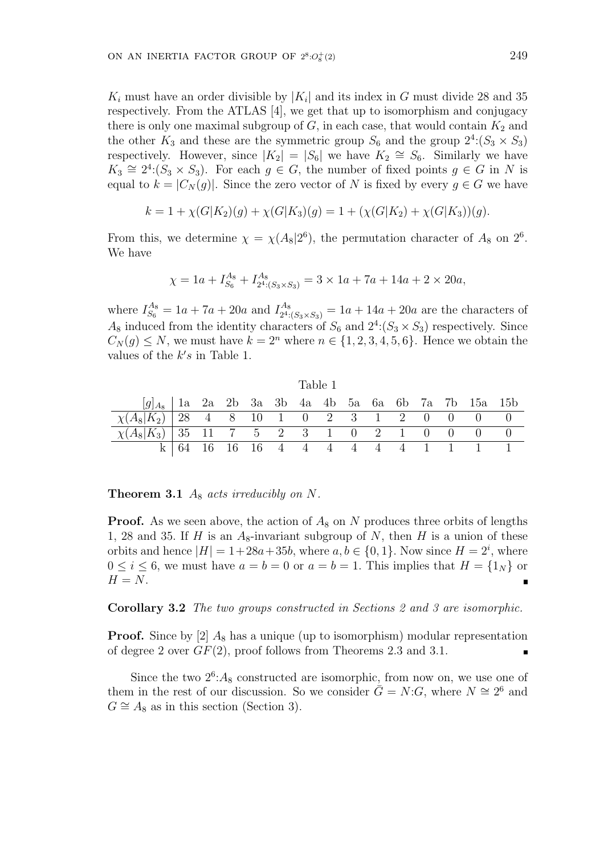$K_i$  must have an order divisible by  $|K_i|$  and its index in G must divide 28 and 35 respectively. From the ATLAS [4], we get that up to isomorphism and conjugacy there is only one maximal subgroup of  $G$ , in each case, that would contain  $K_2$  and the other  $K_3$  and these are the symmetric group  $S_6$  and the group  $2^4$ : $(S_3 \times S_3)$ respectively. However, since  $|K_2| = |S_6|$  we have  $K_2 \cong S_6$ . Similarly we have  $K_3 \cong 2^4$ : $(S_3 \times S_3)$ . For each  $g \in G$ , the number of fixed points  $g \in G$  in N is equal to  $k = |C_N(g)|$ . Since the zero vector of N is fixed by every  $g \in G$  we have

$$
k = 1 + \chi(G|K_2)(g) + \chi(G|K_3)(g) = 1 + (\chi(G|K_2) + \chi(G|K_3))(g).
$$

From this, we determine  $\chi = \chi(A_8|2^6)$ , the permutation character of  $A_8$  on  $2^6$ . We have

$$
\chi = 1a + I_{S_6}^{A_8} + I_{2^4:(S_3 \times S_3)}^{A_8} = 3 \times 1a + 7a + 14a + 2 \times 20a,
$$

where  $I_{S_6}^{A_8} = 1a + 7a + 20a$  and  $I_{24}^{A_8}$  $a_{24:(S_3\times S_3)}^{A_8} = 1a + 14a + 20a$  are the characters of  $A_8$  induced from the identity characters of  $S_6$  and  $2^4$ : $(S_3 \times S_3)$  respectively. Since  $C_N(g) \leq N$ , we must have  $k = 2^n$  where  $n \in \{1, 2, 3, 4, 5, 6\}$ . Hence we obtain the values of the  $k's$  in Table 1.

|                                                           |  |  | Table 1 |  |  |  |                                 |  |
|-----------------------------------------------------------|--|--|---------|--|--|--|---------------------------------|--|
| $[g]_{A_8}$   1a 2a 2b 3a 3b 4a 4b 5a 6a 6b 7a 7b 15a 15b |  |  |         |  |  |  |                                 |  |
| $\chi(A_8 K_2)$   28 4 8 10 1 0 2 3 1 2 0 0 0 0           |  |  |         |  |  |  |                                 |  |
| $\chi(A_8 K_3)$   35 11 7 5 2 3 1 0 2 1 0 0 0 0           |  |  |         |  |  |  |                                 |  |
|                                                           |  |  |         |  |  |  | 64 16 16 16 4 4 4 4 4 4 4 1 1 1 |  |

**Theorem 3.1**  $A_8$  acts irreducibly on N.

**Proof.** As we seen above, the action of  $A_8$  on N produces three orbits of lengths 1, 28 and 35. If H is an  $A_8$ -invariant subgroup of N, then H is a union of these orbits and hence  $|H| = 1+28a+35b$ , where  $a, b \in \{0, 1\}$ . Now since  $H = 2<sup>i</sup>$ , where  $0 \le i \le 6$ , we must have  $a = b = 0$  or  $a = b = 1$ . This implies that  $H = \{1_N\}$  or  $H = N$ .

Corollary 3.2 The two groups constructed in Sections 2 and 3 are isomorphic.

**Proof.** Since by [2]  $A_8$  has a unique (up to isomorphism) modular representation of degree 2 over  $GF(2)$ , proof follows from Theorems 2.3 and 3.1.

Since the two  $2^6$ :  $A_8$  constructed are isomorphic, from now on, we use one of them in the rest of our discussion. So we consider  $\overline{G} = N:G$ , where  $N \cong 2^6$  and  $G \cong A_8$  as in this section (Section 3).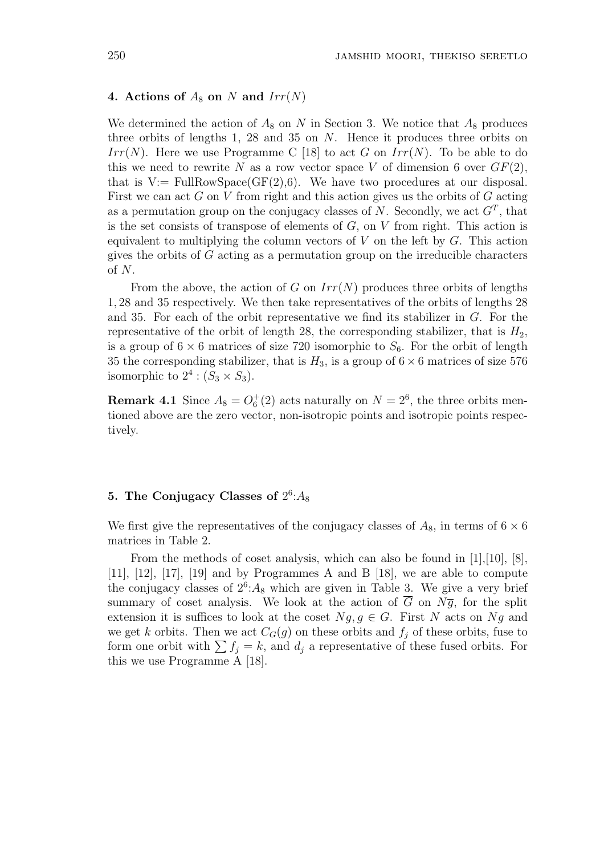### 4. Actions of  $A_8$  on N and  $Irr(N)$

We determined the action of  $A_8$  on N in Section 3. We notice that  $A_8$  produces three orbits of lengths 1, 28 and 35 on N. Hence it produces three orbits on Irr(N). Here we use Programme C [18] to act G on  $Irr(N)$ . To be able to do this we need to rewrite N as a row vector space V of dimension 6 over  $GF(2)$ , that is V:= FullRowSpace( $GF(2)$ ,6). We have two procedures at our disposal. First we can act  $G$  on  $V$  from right and this action gives us the orbits of  $G$  acting as a permutation group on the conjugacy classes of N. Secondly, we act  $G<sup>T</sup>$ , that is the set consists of transpose of elements of  $G$ , on  $V$  from right. This action is equivalent to multiplying the column vectors of  $V$  on the left by  $G$ . This action gives the orbits of  $G$  acting as a permutation group on the irreducible characters of N.

From the above, the action of G on  $Irr(N)$  produces three orbits of lengths 1, 28 and 35 respectively. We then take representatives of the orbits of lengths 28 and 35. For each of the orbit representative we find its stabilizer in  $G$ . For the representative of the orbit of length 28, the corresponding stabilizer, that is  $H_2$ , is a group of  $6 \times 6$  matrices of size 720 isomorphic to  $S_6$ . For the orbit of length 35 the corresponding stabilizer, that is  $H_3$ , is a group of  $6 \times 6$  matrices of size 576 isomorphic to  $2^4$  :  $(S_3 \times S_3)$ .

**Remark 4.1** Since  $A_8 = O_6^+(2)$  acts naturally on  $N = 2^6$ , the three orbits mentioned above are the zero vector, non-isotropic points and isotropic points respectively.

# 5. The Conjugacy Classes of  $2^6$ : $A_8$

We first give the representatives of the conjugacy classes of  $A_8$ , in terms of  $6 \times 6$ matrices in Table 2.

From the methods of coset analysis, which can also be found in [1],[10], [8], [11], [12], [17], [19] and by Programmes A and B [18], we are able to compute the conjugacy classes of  $2^6$ :  $A_8$  which are given in Table 3. We give a very brief summary of coset analysis. We look at the action of  $\overline{G}$  on  $N\overline{g}$ , for the split extension it is suffices to look at the coset  $Ng, g \in G$ . First N acts on Ng and we get k orbits. Then we act  $C_G(g)$  on these orbits and  $f_i$  of these orbits, fuse to form one orbit with  $\sum f_j = k$ , and  $d_j$  a representative of these fused orbits. For this we use Programme A [18].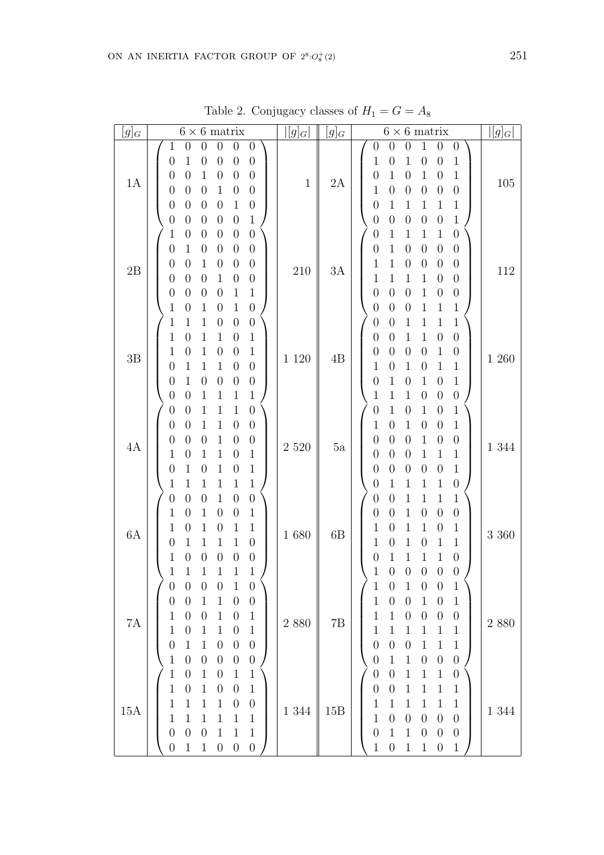| $[g]_G$       | $6 \times 6$ matrix                                                                                                                                                                                                                                                                                                                                                                                                                                                                                                                                                                                                                                                                    | $  g _G $    | $[g]_G$ | $6\times 6$ matrix                                                                                                                                                                                                                                                                                                                                                                                                                                                                                                                                                                                                                                             | $ [g]_G $ |
|---------------|----------------------------------------------------------------------------------------------------------------------------------------------------------------------------------------------------------------------------------------------------------------------------------------------------------------------------------------------------------------------------------------------------------------------------------------------------------------------------------------------------------------------------------------------------------------------------------------------------------------------------------------------------------------------------------------|--------------|---------|----------------------------------------------------------------------------------------------------------------------------------------------------------------------------------------------------------------------------------------------------------------------------------------------------------------------------------------------------------------------------------------------------------------------------------------------------------------------------------------------------------------------------------------------------------------------------------------------------------------------------------------------------------------|-----------|
| 1A            | $\boldsymbol{0}$<br>$\boldsymbol{0}$<br>1<br>$\boldsymbol{0}$<br>$\boldsymbol{0}$<br>$\boldsymbol{0}$<br>$\boldsymbol{0}$<br>$\boldsymbol{0}$<br>$\mathbf 1$<br>$\boldsymbol{0}$<br>$\boldsymbol{0}$<br>$\boldsymbol{0}$<br>$\boldsymbol{0}$<br>$\boldsymbol{0}$<br>$\boldsymbol{0}$<br>$\mathbf 1$<br>$\boldsymbol{0}$<br>$\boldsymbol{0}$<br>1<br>$\boldsymbol{0}$<br>$\boldsymbol{0}$<br>$\boldsymbol{0}$<br>$\boldsymbol{0}$<br>$\boldsymbol{0}$<br>$\mathbf 1$<br>$\boldsymbol{0}$<br>$\boldsymbol{0}$<br>$\boldsymbol{0}$<br>$\boldsymbol{0}$<br>$\boldsymbol{0}$<br>$\,1\,$<br>$\boldsymbol{0}$<br>$\boldsymbol{0}$<br>$\boldsymbol{0}$<br>$\boldsymbol{0}$<br>$\boldsymbol{0}$ | $\mathbf{1}$ | 2A      | $\mathbf{1}$<br>$\boldsymbol{0}$<br>$\boldsymbol{0}$<br>$\boldsymbol{0}$<br>$\theta$<br>$\boldsymbol{0}$<br>$\mathbf{1}$<br>$\mathbf 1$<br>$\boldsymbol{0}$<br>$\mathbf{1}$<br>$\boldsymbol{0}$<br>$\boldsymbol{0}$<br>$\mathbf{1}$<br>$\mathbf{1}$<br>$\,1$<br>$\boldsymbol{0}$<br>$\boldsymbol{0}$<br>$\boldsymbol{0}$<br>$\boldsymbol{0}$<br>$\mathbf{1}$<br>$\boldsymbol{0}$<br>$\boldsymbol{0}$<br>$\boldsymbol{0}$<br>$\boldsymbol{0}$<br>$\mathbf{1}$<br>$\boldsymbol{0}$<br>$\mathbf 1$<br>$\mathbf{1}$<br>1<br>$\mathbf{1}$<br>$\boldsymbol{0}$<br>$\,1\,$<br>$\boldsymbol{0}$<br>$\overline{0}$<br>$\overline{0}$<br>$\boldsymbol{0}$                | 105       |
| $2\mathrm{B}$ | $\boldsymbol{0}$<br>$\boldsymbol{0}$<br>1<br>$\theta$<br>$\boldsymbol{0}$<br>$\boldsymbol{0}$<br>$\boldsymbol{0}$<br>$\boldsymbol{0}$<br>$\mathbf{1}$<br>$\boldsymbol{0}$<br>$\boldsymbol{0}$<br>$\boldsymbol{0}$<br>$\boldsymbol{0}$<br>$\mathbf 1$<br>$\boldsymbol{0}$<br>$\boldsymbol{0}$<br>$\boldsymbol{0}$<br>$\boldsymbol{0}$<br>$\boldsymbol{0}$<br>1<br>$\boldsymbol{0}$<br>$\boldsymbol{0}$<br>$\boldsymbol{0}$<br>$\boldsymbol{0}$<br>$\boldsymbol{0}$<br>$\mathbf{1}$<br>1<br>$\boldsymbol{0}$<br>$\boldsymbol{0}$<br>$\boldsymbol{0}$<br>$\boldsymbol{0}$<br>$\mathbf{1}$<br>1<br>$\mathbf 1$<br>$\boldsymbol{0}$<br>$\boldsymbol{0}$                                     | $210\,$      | 3A      | $\boldsymbol{0}$<br>$\mathbf{1}$<br>$\mathbf{1}$<br>$\mathbf 1$<br>1<br>$\boldsymbol{0}$<br>$\overline{0}$<br>$\mathbf{1}$<br>$\boldsymbol{0}$<br>$\boldsymbol{0}$<br>$\boldsymbol{0}$<br>$\boldsymbol{0}$<br>$\mathbf{1}$<br>$\mathbf{1}$<br>$\boldsymbol{0}$<br>$\boldsymbol{0}$<br>$\boldsymbol{0}$<br>$\boldsymbol{0}$<br>$\mathbf 1$<br>$\mathbf{1}$<br>$\boldsymbol{0}$<br>$\mathbf 1$<br>$\mathbf 1$<br>$\boldsymbol{0}$<br>$\boldsymbol{0}$<br>$\boldsymbol{0}$<br>$\mathbf{1}$<br>$\boldsymbol{0}$<br>$\boldsymbol{0}$<br>$\boldsymbol{0}$<br>$\mathbf{1}$<br>$\mathbf{1}$<br>$\boldsymbol{0}$<br>$\boldsymbol{0}$<br>$\mathbf 1$<br>$\boldsymbol{0}$ | 112       |
| $3\mathrm{B}$ | $\boldsymbol{0}$<br>$\mathbf 1$<br>$\boldsymbol{0}$<br>1<br>$\boldsymbol{0}$<br>1<br>$\mathbf{1}$<br>$\mathbf 1$<br>$\mathbf{1}$<br>$\boldsymbol{0}$<br>$\mathbf 1$<br>$\boldsymbol{0}$<br>$\,1$<br>$\mathbf{1}$<br>$\boldsymbol{0}$<br>$\mathbf 1$<br>$\boldsymbol{0}$<br>$\boldsymbol{0}$<br>$\boldsymbol{0}$<br>1<br>$\mathbf 1$<br>$\boldsymbol{0}$<br>$\boldsymbol{0}$<br>1<br>$\boldsymbol{0}$<br>$\mathbf 1$<br>$\boldsymbol{0}$<br>$\boldsymbol{0}$<br>$\boldsymbol{0}$<br>$\boldsymbol{0}$<br>$\mathbf{1}$<br>$\boldsymbol{0}$<br>$\mathbf 1$<br>$\boldsymbol{0}$<br>1<br>1                                                                                                   | $1\ 120$     | 4B      | $\,1$<br>$\,1$<br>$\mathbf{1}$<br>$\boldsymbol{0}$<br>$\boldsymbol{0}$<br>$\mathbf 1$<br>$\overline{0}$<br>$\mathbf{1}$<br>$\boldsymbol{0}$<br>$\boldsymbol{0}$<br>$\boldsymbol{0}$<br>$\mathbf{1}$<br>$\mathbf 1$<br>$\boldsymbol{0}$<br>$\boldsymbol{0}$<br>$\boldsymbol{0}$<br>$\boldsymbol{0}$<br>$\boldsymbol{0}$<br>$\,1$<br>$\overline{0}$<br>$\mathbf 1$<br>$\mathbf 1$<br>$\mathbf 1$<br>$\boldsymbol{0}$<br>$\mathbf{1}$<br>$\,1\,$<br>$\mathbf{1}$<br>$\boldsymbol{0}$<br>$\boldsymbol{0}$<br>$\boldsymbol{0}$<br>$\mathbf{1}$<br>$\boldsymbol{0}$<br>$\mathbf{1}$<br>$\mathbf 1$<br>$\boldsymbol{0}$<br>$\boldsymbol{0}$                           | 1 260     |
| $4\mbox{\AA}$ | $\mathbf 1$<br>$\boldsymbol{0}$<br>$\boldsymbol{0}$<br>$\mathbf 1$<br>$\theta$<br>1<br>$\boldsymbol{0}$<br>1<br>$\boldsymbol{0}$<br>$\boldsymbol{0}$<br>$\boldsymbol{0}$<br>$\mathbf 1$<br>$\mathbf 1$<br>$\boldsymbol{0}$<br>$\boldsymbol{0}$<br>$\overline{0}$<br>$\boldsymbol{0}$<br>$\boldsymbol{0}$<br>$\mathbf 1$<br>$\mathbf{1}$<br>$\mathbf 1$<br>$\theta$<br>$\boldsymbol{0}$<br>1<br>$\mathbf{1}$<br>$\boldsymbol{0}$<br>$\mathbf 1$<br>1<br>$\boldsymbol{0}$<br>$\boldsymbol{0}$<br>$\mathbf{1}$<br>1<br>1<br>1<br>1<br>1                                                                                                                                                   | $2\ 520$     | 5a      | $\mathbf{1}$<br>$\,1$<br>$\mathbf{1}$<br>$\boldsymbol{0}$<br>$\boldsymbol{0}$<br>$\boldsymbol{0}$<br>$\mathbf{1}$<br>$\mathbf{1}$<br>$\boldsymbol{0}$<br>$\mathbf{1}$<br>$\boldsymbol{0}$<br>$\boldsymbol{0}$<br>$\boldsymbol{0}$<br>$\mathbf{1}$<br>$\overline{0}$<br>$\boldsymbol{0}$<br>$\boldsymbol{0}$<br>$\boldsymbol{0}$<br>$\boldsymbol{0}$<br>$\mathbf{1}$<br>$\mathbf 1$<br>$1\,$<br>$\boldsymbol{0}$<br>$\boldsymbol{0}$<br>$\,1$<br>$\boldsymbol{0}$<br>$\overline{0}$<br>$\boldsymbol{0}$<br>$\boldsymbol{0}$<br>$\boldsymbol{0}$<br>$\boldsymbol{0}$<br>$\boldsymbol{0}$<br>1<br>$\mathbf 1$<br>$\mathbf{1}$<br>1                                | 1 344     |
| $6\mbox{\AA}$ | $\mathbf 1$<br>$\boldsymbol{0}$<br>$\boldsymbol{0}$<br>$\boldsymbol{0}$<br>$\boldsymbol{0}$<br>$\boldsymbol{0}$<br>$\mathbf 1$<br>$\mathbf 1$<br>$\boldsymbol{0}$<br>1<br>$\boldsymbol{0}$<br>$\boldsymbol{0}$<br>$\mathbf{1}$<br>$\mathbf 1$<br>1<br>$\overline{0}$<br>1<br>0<br>$\mathbf 1$<br>$\boldsymbol{0}$<br>$\boldsymbol{0}$<br>$\mathbf 1$<br>$\mathbf 1$<br>1<br>1<br>$\boldsymbol{0}$<br>$\overline{0}$<br>$\boldsymbol{0}$<br>0<br>$\boldsymbol{0}$<br>$\mathbf 1$<br>$\mathbf 1$<br>1<br>1<br>1<br>1                                                                                                                                                                     | $1\ 680$     | 6B      | $\,1$<br>$\mathbf{1}$<br>$\mathbf 1$<br>$\mathbf{1}$<br>$\boldsymbol{0}$<br>$\boldsymbol{0}$<br>$\boldsymbol{0}$<br>$\boldsymbol{0}$<br>$\boldsymbol{0}$<br>$\boldsymbol{0}$<br>$\boldsymbol{0}$<br>$\mathbf 1$<br>$\mathbf{1}$<br>$\mathbf 1$<br>$\boldsymbol{0}$<br>$\mathbf 1$<br>$\mathbf{1}$<br>$\boldsymbol{0}$<br>$\mathbf{1}$<br>$\,1$<br>$\overline{0}$<br>$\mathbf 1$<br>$\mathbf{1}$<br>$\boldsymbol{0}$<br>$\mathbf{1}$<br>$\boldsymbol{0}$<br>1<br>$\mathbf 1$<br>$\boldsymbol{0}$<br>1<br>$\overline{0}$<br>$\mathbf 1$<br>$\boldsymbol{0}$<br>$\boldsymbol{0}$<br>$\boldsymbol{0}$<br>$\boldsymbol{0}$                                          | 3 3 6 0   |
| $7\mathrm{A}$ | $\,1$<br>$\boldsymbol{0}$<br>$\boldsymbol{0}$<br>$\boldsymbol{0}$<br>$\overline{0}$<br>$\boldsymbol{0}$<br>$\boldsymbol{0}$<br>$\boldsymbol{0}$<br>$\boldsymbol{0}$<br>$\boldsymbol{0}$<br>1<br>$\mathbf 1$<br>$\,1$<br>$\boldsymbol{0}$<br>$\mathbf{1}$<br>$\boldsymbol{0}$<br>$\mathbf{1}$<br>$\theta$<br>$\boldsymbol{0}$<br>$\,1\,$<br>$\,1$<br>$\mathbf 1$<br>$\overline{0}$<br>$\mathbf 1$<br>$\boldsymbol{0}$<br>$\boldsymbol{0}$<br>$\boldsymbol{0}$<br>$\boldsymbol{0}$<br>$\mathbf 1$<br>1<br>1<br>$\boldsymbol{0}$<br>$\boldsymbol{0}$<br>$\boldsymbol{0}$<br>$\overline{0}$<br>$\boldsymbol{0}$                                                                            | $2\ 880$     | 7B      | $\mathbf{1}$<br>$\mathbf{1}$<br>$\boldsymbol{0}$<br>$\mathbf{1}$<br>$\boldsymbol{0}$<br>$\boldsymbol{0}$<br>$\boldsymbol{0}$<br>$\mathbf 1$<br>$\boldsymbol{0}$<br>$\boldsymbol{0}$<br>$\mathbf 1$<br>$\mathbf{1}$<br>$\,1\,$<br>$\mathbf{1}$<br>$\boldsymbol{0}$<br>$\boldsymbol{0}$<br>$\boldsymbol{0}$<br>$\boldsymbol{0}$<br>$1\,$<br>$\mathbf{1}$<br>$\mathbf{1}$<br>$1\,$<br>$\mathbf{1}$<br>$\mathbf{1}$<br>$\mathbf{1}$<br>$\mathbf{1}$<br>$\,1\,$<br>$\theta$<br>$\theta$<br>$\boldsymbol{0}$<br>$\boldsymbol{0}$<br>$\boldsymbol{0}$<br>$\mathbf{1}$<br>$\boldsymbol{0}$<br>$\mathbf{1}$<br>$\overline{0}$                                           | 2 8 8 0   |
| 15A           | $\,1\,$<br>$\mathbf 1$<br>$\mathbf{1}$<br>$\boldsymbol{0}$<br>$\mathbf{1}$<br>$\boldsymbol{0}$<br>$\,1\,$<br>$\mathbf{1}$<br>$\boldsymbol{0}$<br>$\boldsymbol{0}$<br>$\boldsymbol{0}$<br>$\mathbf 1$<br>$\mathbf{1}$<br>$\boldsymbol{0}$<br>$\boldsymbol{0}$<br>$\mathbf 1$<br>$\mathbf 1$<br>1<br>$\,1\,$<br>$\mathbf 1$<br>$\mathbf{1}$<br>$\mathbf 1$<br>1<br>1<br>$\,1\,$<br>$\overline{0}$<br>$\mathbf 1$<br>$\mathbf 1$<br>$\boldsymbol{0}$<br>$\boldsymbol{0}$<br>$\boldsymbol{0}$<br>$\boldsymbol{0}$<br>$\mathbf{1}$<br>$\mathbf 1$<br>$\boldsymbol{0}$<br>$\boldsymbol{0}$                                                                                                   | 1 344        | 15B     | $\boldsymbol{0}$<br>$\mathbf{1}$<br>$\mathbf{1}$<br>$\mathbf{1}$<br>$\boldsymbol{0}$<br>$\overline{0}$<br>$\mathbf{1}$<br>$\mathbf 1$<br>$\,1$<br>$\boldsymbol{0}$<br>$\boldsymbol{0}$<br>$\mathbf 1$<br>$\mathbf{1}$<br>$\mathbf 1$<br>$\mathbf 1$<br>$\,1$<br>$\,1$<br>1<br>$\mathbf{1}$<br>$\boldsymbol{0}$<br>$\boldsymbol{0}$<br>$\boldsymbol{0}$<br>$\theta$<br>$\boldsymbol{0}$<br>$\mathbf{1}$<br>$\mathbf 1$<br>$\boldsymbol{0}$<br>$\boldsymbol{0}$<br>$\boldsymbol{0}$<br>$\boldsymbol{0}$<br>$\,1$<br>$\mathbf 1$<br>$\,1\,$<br>$\boldsymbol{0}$<br>$1\,$<br>$\boldsymbol{0}$                                                                      | 1 344     |

Table 2. Conjugacy classes of  $H_1=G=A_8$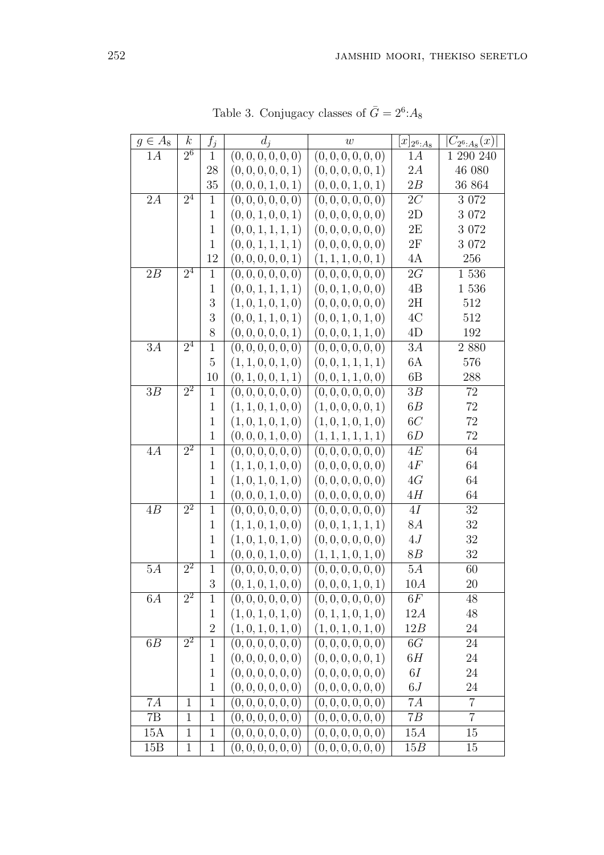| $g \in A_8$ | $\boldsymbol{k}$ | $f_j$          | $d_i$              | w                  | $[x]_{2^{6}:A_{8}}$      | $ C_{2^6:A_8}(x) $ |
|-------------|------------------|----------------|--------------------|--------------------|--------------------------|--------------------|
| 1A          | $\overline{2^6}$ | $\mathbf{1}$   | (0, 0, 0, 0, 0, 0) | (0, 0, 0, 0, 0, 0) | 1A                       | 1 290 240          |
|             |                  | 28             | (0, 0, 0, 0, 0, 1) | (0, 0, 0, 0, 0, 1) | 2A                       | 46 080             |
|             |                  | 35             | (0, 0, 0, 1, 0, 1) | (0, 0, 0, 1, 0, 1) | 2B                       | 36 864             |
| $2{\cal A}$ | 2 <sup>4</sup>   | $\mathbf{1}$   | (0, 0, 0, 0, 0, 0) | (0, 0, 0, 0, 0, 0) | $2\cal C$                | $3\;072$           |
|             |                  | $\mathbf{1}$   | (0, 0, 1, 0, 0, 1) | (0, 0, 0, 0, 0, 0) | $2\mathrm{D}$            | $3\;072$           |
|             |                  | $\mathbf{1}$   | (0, 0, 1, 1, 1, 1) | (0, 0, 0, 0, 0, 0) | 2E                       | $3\ 072$           |
|             |                  | $\mathbf{1}$   | (0, 0, 1, 1, 1, 1) | (0, 0, 0, 0, 0, 0) | $2\mathrm{F}$            | 3 0 7 2            |
|             |                  | 12             | (0, 0, 0, 0, 0, 1) | (1, 1, 1, 0, 0, 1) | 4A                       | 256                |
| 2B          | $\overline{2^4}$ | $\mathbf{1}$   | (0, 0, 0, 0, 0, 0) | (0, 0, 0, 0, 0, 0) | 2G                       | 1536               |
|             |                  | $\mathbf{1}$   | (0, 0, 1, 1, 1, 1) | (0, 0, 1, 0, 0, 0) | 4B                       | 1536               |
|             |                  | 3              | (1,0,1,0,1,0)      | (0, 0, 0, 0, 0, 0) | $2\mathrm{H}$            | 512                |
|             |                  | 3              | (0, 0, 1, 1, 0, 1) | (0, 0, 1, 0, 1, 0) | $4\mathrm{C}$            | 512                |
|             |                  | 8              | (0, 0, 0, 0, 0, 1) | (0,0,0,1,1,0)      | 4D                       | 192                |
| $3\cal{A}$  | $\overline{2^4}$ | $\mathbf{1}$   | (0, 0, 0, 0, 0, 0) | (0, 0, 0, 0, 0, 0) | $3\mathcal{A}$           | 2880               |
|             |                  | $\overline{5}$ | (1, 1, 0, 0, 1, 0) | (0, 0, 1, 1, 1, 1) | 6A                       | 576                |
|             |                  | 10             | (0, 1, 0, 0, 1, 1) | (0, 0, 1, 1, 0, 0) | 6B                       | 288                |
| 3B          | $2^2$            | $\mathbf{1}$   | (0, 0, 0, 0, 0, 0) | (0, 0, 0, 0, 0, 0) | 3B                       | $72\,$             |
|             |                  | $\mathbf{1}$   | (1, 1, 0, 1, 0, 0) | (1, 0, 0, 0, 0, 1) | 6B                       | $72\,$             |
|             |                  | $\mathbf{1}$   | (1,0,1,0,1,0)      | (1,0,1,0,1,0)      | $6\ensuremath{C}$        | $72\,$             |
|             |                  | $\mathbf{1}$   | (0, 0, 0, 1, 0, 0) | (1, 1, 1, 1, 1, 1) | 6D                       | 72                 |
| 4A          | $\overline{2^2}$ | $\mathbf{1}$   | (0, 0, 0, 0, 0, 0) | (0, 0, 0, 0, 0, 0) | $4\cal E$                | 64                 |
|             |                  | $\mathbf{1}$   | (1, 1, 0, 1, 0, 0) | (0, 0, 0, 0, 0, 0) | $4\mathcal{F}$           | 64                 |
|             |                  | $\mathbf{1}$   | (1,0,1,0,1,0)      | (0, 0, 0, 0, 0, 0) | 4G                       | 64                 |
|             |                  | $\mathbf{1}$   | (0, 0, 0, 1, 0, 0) | (0, 0, 0, 0, 0, 0) | 4H                       | 64                 |
| 4B          | $\overline{2^2}$ | $\mathbf{1}$   | (0, 0, 0, 0, 0, 0) | (0, 0, 0, 0, 0, 0) | $4\mathcal{I}$           | 32                 |
|             |                  | $\mathbf{1}$   | (1, 1, 0, 1, 0, 0) | (0, 0, 1, 1, 1, 1) | $8\cal{A}$               | $32\,$             |
|             |                  | $\mathbf{1}$   | (1,0,1,0,1,0)      | (0, 0, 0, 0, 0, 0) | $4J\,$                   | 32                 |
|             |                  | $\mathbf{1}$   | (0, 0, 0, 1, 0, 0) | (1, 1, 1, 0, 1, 0) | 8B                       | 32                 |
| $5\cal{A}$  | $\overline{2^2}$ | $\mathbf{1}$   | (0, 0, 0, 0, 0, 0) | (0, 0, 0, 0, 0, 0) | $5 \\ A$                 | 60                 |
|             |                  | 3              | (0, 1, 0, 1, 0, 0) | (0,0,0,1,0,1)      | 10A                      | 20                 |
| 6A          | $\overline{2^2}$ | $\mathbf{1}$   | (0, 0, 0, 0, 0, 0) | (0, 0, 0, 0, 0, 0) | 6F                       | 48                 |
|             |                  | $\mathbf{1}$   | (1,0,1,0,1,0)      | (0, 1, 1, 0, 1, 0) | 12A                      | 48                 |
|             |                  | $\overline{2}$ | (1,0,1,0,1,0)      | (1,0,1,0,1,0)      | 12B                      | 24                 |
| 6B          | $\overline{2^2}$ | $\mathbf{1}$   | (0, 0, 0, 0, 0, 0) | (0, 0, 0, 0, 0, 0) | 6G                       | 24                 |
|             |                  | $\mathbf{1}$   | (0, 0, 0, 0, 0, 0) | (0, 0, 0, 0, 0, 1) | 6H                       | $24\,$             |
|             |                  | $\mathbf 1$    | (0, 0, 0, 0, 0, 0) | (0, 0, 0, 0, 0, 0) | 6I                       | 24                 |
|             |                  | $\mathbf{1}$   | (0, 0, 0, 0, 0, 0) | (0, 0, 0, 0, 0, 0) | $6\ensuremath{J}\xspace$ | 24                 |
| $7A$        | $\mathbf{1}$     | $\mathbf 1$    | (0, 0, 0, 0, 0, 0) | (0,0,0,0,0,0)      | 7A                       | $\overline{7}$     |
| 7B          | $\mathbf{1}$     | $\mathbf{1}$   | (0,0,0,0,0,0)      | (0,0,0,0,0,0)      | 7B                       | $\overline{7}$     |
| 15A         | $\mathbf 1$      | $\mathbf{1}$   | (0, 0, 0, 0, 0, 0) | (0, 0, 0, 0, 0, 0) | 15A                      | 15                 |
| 15B         | $\mathbf{1}$     | $\mathbf 1$    | (0, 0, 0, 0, 0, 0) | (0, 0, 0, 0, 0, 0) | 15B                      | 15                 |

Table 3. Conjugacy classes of  $\bar{G} = 2^6$ :  $A_8$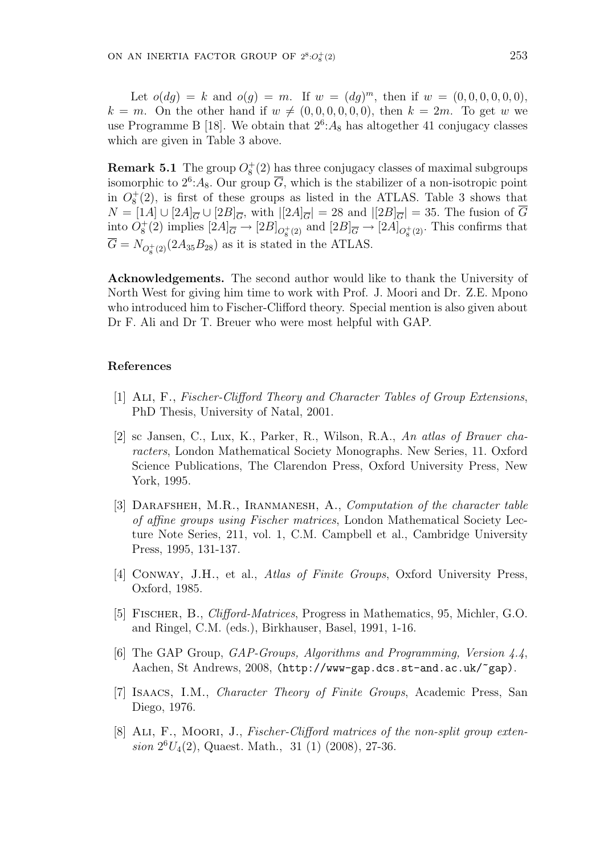Let  $o(dg) = k$  and  $o(g) = m$ . If  $w = (dg)^m$ , then if  $w = (0, 0, 0, 0, 0, 0)$ ,  $k = m$ . On the other hand if  $w \neq (0, 0, 0, 0, 0, 0)$ , then  $k = 2m$ . To get w we use Programme B [18]. We obtain that  $2^6$ : A<sub>8</sub> has altogether 41 conjugacy classes which are given in Table 3 above.

**Remark 5.1** The group  $O_8^+(2)$  has three conjugacy classes of maximal subgroups isomorphic to  $2^6$ : A<sub>8</sub>. Our group  $\overline{G}$ , which is the stabilizer of a non-isotropic point in  $O_8^+(2)$ , is first of these groups as listed in the ATLAS. Table 3 shows that  $N = [1A] \cup [2A]_{\overline{G}} \cup [2B]_{\overline{G}},$  with  $|[2A]_{\overline{G}}| = 28$  and  $|[2B]_{\overline{G}}| = 35$ . The fusion of  $\overline{G}$ into  $O_8^+(2)$  implies  $[2A]_{\overline{G}} \to [2B]_{O_8^+(2)}$  and  $[2B]_{\overline{G}} \to [2A]_{O_8^+(2)}$ . This confirms that  $\overline{G} = N_{O_8^+(2)}(2A_{35}B_{28})$  as it is stated in the ATLAS.

Acknowledgements. The second author would like to thank the University of North West for giving him time to work with Prof. J. Moori and Dr. Z.E. Mpono who introduced him to Fischer-Clifford theory. Special mention is also given about Dr F. Ali and Dr T. Breuer who were most helpful with GAP.

#### References

- [1] Ali, F., Fischer-Clifford Theory and Character Tables of Group Extensions, PhD Thesis, University of Natal, 2001.
- [2] sc Jansen, C., Lux, K., Parker, R., Wilson, R.A., An atlas of Brauer characters, London Mathematical Society Monographs. New Series, 11. Oxford Science Publications, The Clarendon Press, Oxford University Press, New York, 1995.
- [3] DARAFSHEH, M.R., IRANMANESH, A., Computation of the character table of affine groups using Fischer matrices, London Mathematical Society Lecture Note Series, 211, vol. 1, C.M. Campbell et al., Cambridge University Press, 1995, 131-137.
- [4] CONWAY, J.H., et al., *Atlas of Finite Groups*, Oxford University Press, Oxford, 1985.
- [5] Fischer, B., Clifford-Matrices, Progress in Mathematics, 95, Michler, G.O. and Ringel, C.M. (eds.), Birkhauser, Basel, 1991, 1-16.
- [6] The GAP Group, GAP-Groups, Algorithms and Programming, Version 4.4, Aachen, St Andrews, 2008, (http://www-gap.dcs.st-and.ac.uk/~gap).
- [7] Isaacs, I.M., Character Theory of Finite Groups, Academic Press, San Diego, 1976.
- [8] ALI, F., MOORI, J., Fischer-Clifford matrices of the non-split group exten $sion 2<sup>6</sup>U<sub>4</sub>(2),$  Quaest. Math., 31 (1) (2008), 27-36.